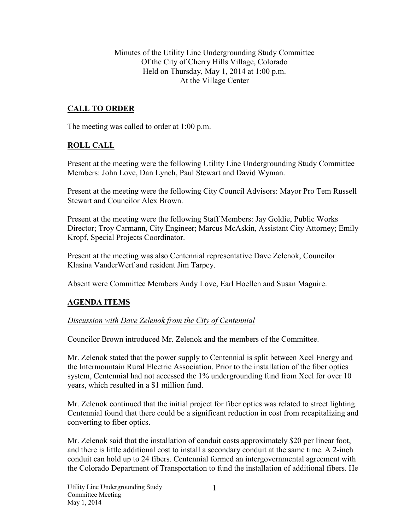Minutes of the Utility Line Undergrounding Study Committee Of the City of Cherry Hills Village, Colorado Held on Thursday, May 1, 2014 at 1:00 p.m. At the Village Center

## **CALL TO ORDER**

The meeting was called to order at 1:00 p.m.

### **ROLL CALL**

Present at the meeting were the following Utility Line Undergrounding Study Committee Members: John Love, Dan Lynch, Paul Stewart and David Wyman.

Present at the meeting were the following City Council Advisors: Mayor Pro Tem Russell Stewart and Councilor Alex Brown.

Present at the meeting were the following Staff Members: Jay Goldie, Public Works Director; Troy Carmann, City Engineer; Marcus McAskin, Assistant City Attorney; Emily Kropf, Special Projects Coordinator.

Present at the meeting was also Centennial representative Dave Zelenok, Councilor Klasina VanderWerf and resident Jim Tarpey.

Absent were Committee Members Andy Love, Earl Hoellen and Susan Maguire.

### **AGENDA ITEMS**

#### *Discussion with Dave Zelenok from the City of Centennial*

Councilor Brown introduced Mr. Zelenok and the members of the Committee.

Mr. Zelenok stated that the power supply to Centennial is split between Xcel Energy and the Intermountain Rural Electric Association. Prior to the installation of the fiber optics system, Centennial had not accessed the 1% undergrounding fund from Xcel for over 10 years, which resulted in a \$1 million fund.

Mr. Zelenok continued that the initial project for fiber optics was related to street lighting. Centennial found that there could be a significant reduction in cost from recapitalizing and converting to fiber optics.

Mr. Zelenok said that the installation of conduit costs approximately \$20 per linear foot, and there is little additional cost to install a secondary conduit at the same time. A 2-inch conduit can hold up to 24 fibers. Centennial formed an intergovernmental agreement with the Colorado Department of Transportation to fund the installation of additional fibers. He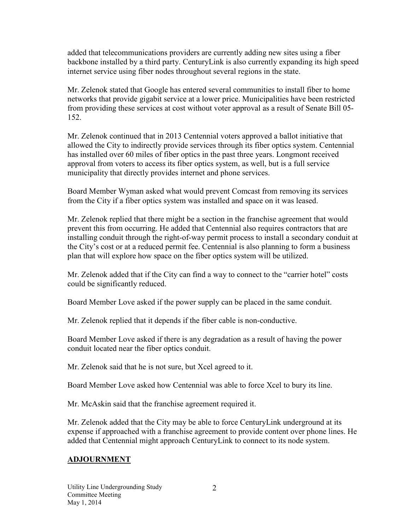added that telecommunications providers are currently adding new sites using a fiber backbone installed by a third party. CenturyLink is also currently expanding its high speed internet service using fiber nodes throughout several regions in the state.

Mr. Zelenok stated that Google has entered several communities to install fiber to home networks that provide gigabit service at a lower price. Municipalities have been restricted from providing these services at cost without voter approval as a result of Senate Bill 05- 152.

Mr. Zelenok continued that in 2013 Centennial voters approved a ballot initiative that allowed the City to indirectly provide services through its fiber optics system. Centennial has installed over 60 miles of fiber optics in the past three years. Longmont received approval from voters to access its fiber optics system, as well, but is a full service municipality that directly provides internet and phone services.

Board Member Wyman asked what would prevent Comcast from removing its services from the City if a fiber optics system was installed and space on it was leased.

Mr. Zelenok replied that there might be a section in the franchise agreement that would prevent this from occurring. He added that Centennial also requires contractors that are installing conduit through the right-of-way permit process to install a secondary conduit at the City's cost or at a reduced permit fee. Centennial is also planning to form a business plan that will explore how space on the fiber optics system will be utilized.

Mr. Zelenok added that if the City can find a way to connect to the "carrier hotel" costs could be significantly reduced.

Board Member Love asked if the power supply can be placed in the same conduit.

Mr. Zelenok replied that it depends if the fiber cable is non-conductive.

Board Member Love asked if there is any degradation as a result of having the power conduit located near the fiber optics conduit.

Mr. Zelenok said that he is not sure, but Xcel agreed to it.

Board Member Love asked how Centennial was able to force Xcel to bury its line.

Mr. McAskin said that the franchise agreement required it.

Mr. Zelenok added that the City may be able to force CenturyLink underground at its expense if approached with a franchise agreement to provide content over phone lines. He added that Centennial might approach CenturyLink to connect to its node system.

# **ADJOURNMENT**